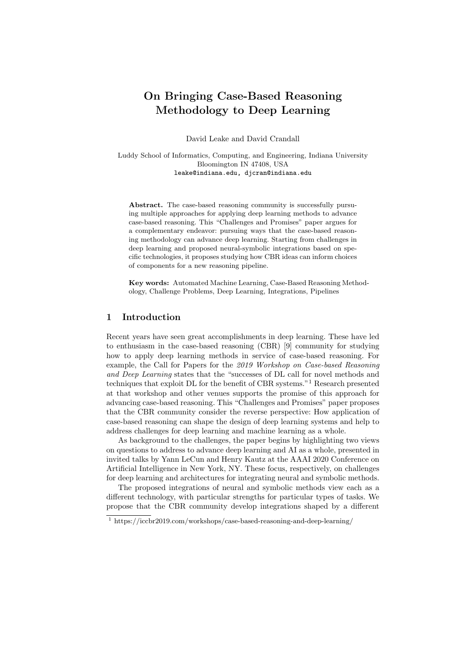# On Bringing Case-Based Reasoning Methodology to Deep Learning

David Leake and David Crandall

Luddy School of Informatics, Computing, and Engineering, Indiana University Bloomington IN 47408, USA leake@indiana.edu, djcran@indiana.edu

Abstract. The case-based reasoning community is successfully pursuing multiple approaches for applying deep learning methods to advance case-based reasoning. This "Challenges and Promises" paper argues for a complementary endeavor: pursuing ways that the case-based reasoning methodology can advance deep learning. Starting from challenges in deep learning and proposed neural-symbolic integrations based on specific technologies, it proposes studying how CBR ideas can inform choices of components for a new reasoning pipeline.

Key words: Automated Machine Learning, Case-Based Reasoning Methodology, Challenge Problems, Deep Learning, Integrations, Pipelines

#### 1 Introduction

Recent years have seen great accomplishments in deep learning. These have led to enthusiasm in the case-based reasoning (CBR) [9] community for studying how to apply deep learning methods in service of case-based reasoning. For example, the Call for Papers for the 2019 Workshop on Case-based Reasoning and Deep Learning states that the "successes of DL call for novel methods and techniques that exploit DL for the benefit of CBR systems."<sup>1</sup> Research presented at that workshop and other venues supports the promise of this approach for advancing case-based reasoning. This "Challenges and Promises" paper proposes that the CBR community consider the reverse perspective: How application of case-based reasoning can shape the design of deep learning systems and help to address challenges for deep learning and machine learning as a whole.

As background to the challenges, the paper begins by highlighting two views on questions to address to advance deep learning and AI as a whole, presented in invited talks by Yann LeCun and Henry Kautz at the AAAI 2020 Conference on Artificial Intelligence in New York, NY. These focus, respectively, on challenges for deep learning and architectures for integrating neural and symbolic methods.

The proposed integrations of neural and symbolic methods view each as a different technology, with particular strengths for particular types of tasks. We propose that the CBR community develop integrations shaped by a different

<sup>1</sup> https://iccbr2019.com/workshops/case-based-reasoning-and-deep-learning/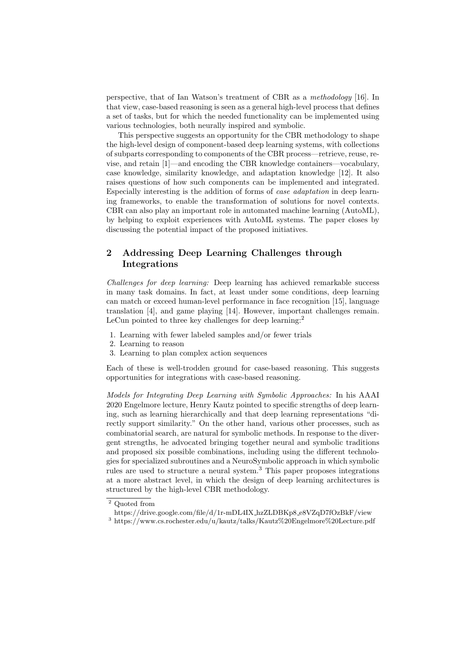perspective, that of Ian Watson's treatment of CBR as a methodology [16]. In that view, case-based reasoning is seen as a general high-level process that defines a set of tasks, but for which the needed functionality can be implemented using various technologies, both neurally inspired and symbolic.

This perspective suggests an opportunity for the CBR methodology to shape the high-level design of component-based deep learning systems, with collections of subparts corresponding to components of the CBR process—retrieve, reuse, revise, and retain [1]—and encoding the CBR knowledge containers—vocabulary, case knowledge, similarity knowledge, and adaptation knowledge [12]. It also raises questions of how such components can be implemented and integrated. Especially interesting is the addition of forms of case adaptation in deep learning frameworks, to enable the transformation of solutions for novel contexts. CBR can also play an important role in automated machine learning (AutoML), by helping to exploit experiences with AutoML systems. The paper closes by discussing the potential impact of the proposed initiatives.

# 2 Addressing Deep Learning Challenges through Integrations

Challenges for deep learning: Deep learning has achieved remarkable success in many task domains. In fact, at least under some conditions, deep learning can match or exceed human-level performance in face recognition [15], language translation [4], and game playing [14]. However, important challenges remain. LeCun pointed to three key challenges for deep learning:<sup>2</sup>

- 1. Learning with fewer labeled samples and/or fewer trials
- 2. Learning to reason
- 3. Learning to plan complex action sequences

Each of these is well-trodden ground for case-based reasoning. This suggests opportunities for integrations with case-based reasoning.

Models for Integrating Deep Learning with Symbolic Approaches: In his AAAI 2020 Engelmore lecture, Henry Kautz pointed to specific strengths of deep learning, such as learning hierarchically and that deep learning representations "directly support similarity." On the other hand, various other processes, such as combinatorial search, are natural for symbolic methods. In response to the divergent strengths, he advocated bringing together neural and symbolic traditions and proposed six possible combinations, including using the different technologies for specialized subroutines and a NeuroSymbolic approach in which symbolic rules are used to structure a neural system.<sup>3</sup> This paper proposes integrations at a more abstract level, in which the design of deep learning architectures is structured by the high-level CBR methodology.

<sup>2</sup> Quoted from

https://drive.google.com/file/d/1r-mDL4IX hzZLDBKp8 e8VZqD7fOzBkF/view

 $^3$ https://www.cs.rochester.edu/u/kautz/talks/Kautz%20Engelmore%20Lecture.pdf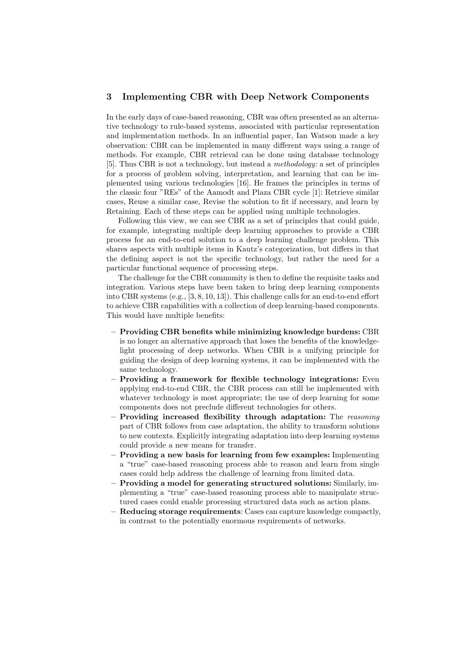#### 3 Implementing CBR with Deep Network Components

In the early days of case-based reasoning, CBR was often presented as an alternative technology to rule-based systems, associated with particular representation and implementation methods. In an influential paper, Ian Watson made a key observation: CBR can be implemented in many different ways using a range of methods. For example, CBR retrieval can be done using database technology [5]. Thus CBR is not a technology, but instead a methodology: a set of principles for a process of problem solving, interpretation, and learning that can be implemented using various technologies [16]. He frames the principles in terms of the classic four "REs" of the Aamodt and Plaza CBR cycle [1]: Retrieve similar cases, Reuse a similar case, Revise the solution to fit if necessary, and learn by Retaining. Each of these steps can be applied using multiple technologies.

Following this view, we can see CBR as a set of principles that could guide, for example, integrating multiple deep learning approaches to provide a CBR process for an end-to-end solution to a deep learning challenge problem. This shares aspects with multiple items in Kautz's categorization, but differs in that the defining aspect is not the specific technology, but rather the need for a particular functional sequence of processing steps.

The challenge for the CBR community is then to define the requisite tasks and integration. Various steps have been taken to bring deep learning components into CBR systems (e.g., [3, 8, 10, 13]). This challenge calls for an end-to-end effort to achieve CBR capabilities with a collection of deep learning-based components. This would have multiple benefits:

- Providing CBR benefits while minimizing knowledge burdens: CBR is no longer an alternative approach that loses the benefits of the knowledgelight processing of deep networks. When CBR is a unifying principle for guiding the design of deep learning systems, it can be implemented with the same technology.
- Providing a framework for flexible technology integrations: Even applying end-to-end CBR, the CBR process can still be implemented with whatever technology is most appropriate; the use of deep learning for some components does not preclude different technologies for others.
- Providing increased flexibility through adaptation: The reasoning part of CBR follows from case adaptation, the ability to transform solutions to new contexts. Explicitly integrating adaptation into deep learning systems could provide a new means for transfer.
- Providing a new basis for learning from few examples: Implementing a "true" case-based reasoning process able to reason and learn from single cases could help address the challenge of learning from limited data.
- Providing a model for generating structured solutions: Similarly, implementing a "true" case-based reasoning process able to manipulate structured cases could enable processing structured data such as action plans.
- Reducing storage requirements: Cases can capture knowledge compactly, in contrast to the potentially enormous requirements of networks.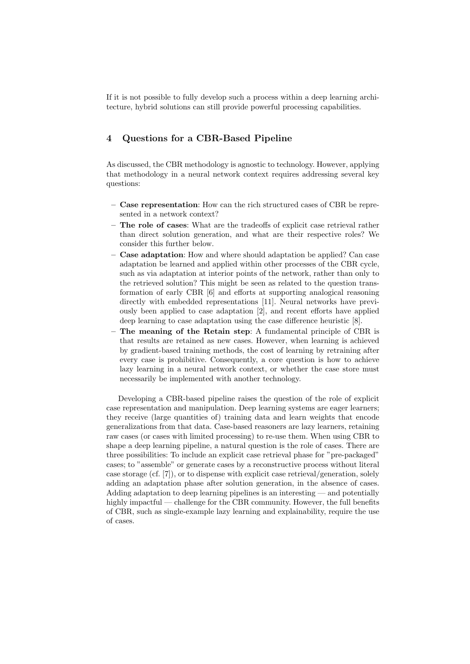If it is not possible to fully develop such a process within a deep learning architecture, hybrid solutions can still provide powerful processing capabilities.

## 4 Questions for a CBR-Based Pipeline

As discussed, the CBR methodology is agnostic to technology. However, applying that methodology in a neural network context requires addressing several key questions:

- Case representation: How can the rich structured cases of CBR be represented in a network context?
- The role of cases: What are the tradeoffs of explicit case retrieval rather than direct solution generation, and what are their respective roles? We consider this further below.
- Case adaptation: How and where should adaptation be applied? Can case adaptation be learned and applied within other processes of the CBR cycle, such as via adaptation at interior points of the network, rather than only to the retrieved solution? This might be seen as related to the question transformation of early CBR [6] and efforts at supporting analogical reasoning directly with embedded representations [11]. Neural networks have previously been applied to case adaptation [2], and recent efforts have applied deep learning to case adaptation using the case difference heuristic [8].
- The meaning of the Retain step: A fundamental principle of CBR is that results are retained as new cases. However, when learning is achieved by gradient-based training methods, the cost of learning by retraining after every case is prohibitive. Consequently, a core question is how to achieve lazy learning in a neural network context, or whether the case store must necessarily be implemented with another technology.

Developing a CBR-based pipeline raises the question of the role of explicit case representation and manipulation. Deep learning systems are eager learners; they receive (large quantities of) training data and learn weights that encode generalizations from that data. Case-based reasoners are lazy learners, retaining raw cases (or cases with limited processing) to re-use them. When using CBR to shape a deep learning pipeline, a natural question is the role of cases. There are three possibilities: To include an explicit case retrieval phase for "pre-packaged" cases; to "assemble" or generate cases by a reconstructive process without literal case storage (cf. [7]), or to dispense with explicit case retrieval/generation, solely adding an adaptation phase after solution generation, in the absence of cases. Adding adaptation to deep learning pipelines is an interesting — and potentially highly impactful — challenge for the CBR community. However, the full benefits of CBR, such as single-example lazy learning and explainability, require the use of cases.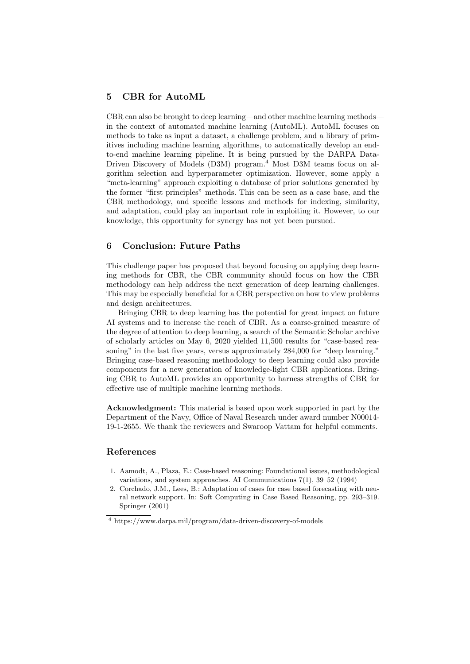## 5 CBR for AutoML

CBR can also be brought to deep learning—and other machine learning methods in the context of automated machine learning (AutoML). AutoML focuses on methods to take as input a dataset, a challenge problem, and a library of primitives including machine learning algorithms, to automatically develop an endto-end machine learning pipeline. It is being pursued by the DARPA Data-Driven Discovery of Models (D3M) program.<sup>4</sup> Most D3M teams focus on algorithm selection and hyperparameter optimization. However, some apply a "meta-learning" approach exploiting a database of prior solutions generated by the former "first principles" methods. This can be seen as a case base, and the CBR methodology, and specific lessons and methods for indexing, similarity, and adaptation, could play an important role in exploiting it. However, to our knowledge, this opportunity for synergy has not yet been pursued.

## 6 Conclusion: Future Paths

This challenge paper has proposed that beyond focusing on applying deep learning methods for CBR, the CBR community should focus on how the CBR methodology can help address the next generation of deep learning challenges. This may be especially beneficial for a CBR perspective on how to view problems and design architectures.

Bringing CBR to deep learning has the potential for great impact on future AI systems and to increase the reach of CBR. As a coarse-grained measure of the degree of attention to deep learning, a search of the Semantic Scholar archive of scholarly articles on May 6, 2020 yielded 11,500 results for "case-based reasoning" in the last five years, versus approximately 284,000 for "deep learning." Bringing case-based reasoning methodology to deep learning could also provide components for a new generation of knowledge-light CBR applications. Bringing CBR to AutoML provides an opportunity to harness strengths of CBR for effective use of multiple machine learning methods.

Acknowledgment: This material is based upon work supported in part by the Department of the Navy, Office of Naval Research under award number N00014- 19-1-2655. We thank the reviewers and Swaroop Vattam for helpful comments.

## References

- 1. Aamodt, A., Plaza, E.: Case-based reasoning: Foundational issues, methodological variations, and system approaches. AI Communications 7(1), 39–52 (1994)
- 2. Corchado, J.M., Lees, B.: Adaptation of cases for case based forecasting with neural network support. In: Soft Computing in Case Based Reasoning, pp. 293–319. Springer (2001)

<sup>4</sup> https://www.darpa.mil/program/data-driven-discovery-of-models